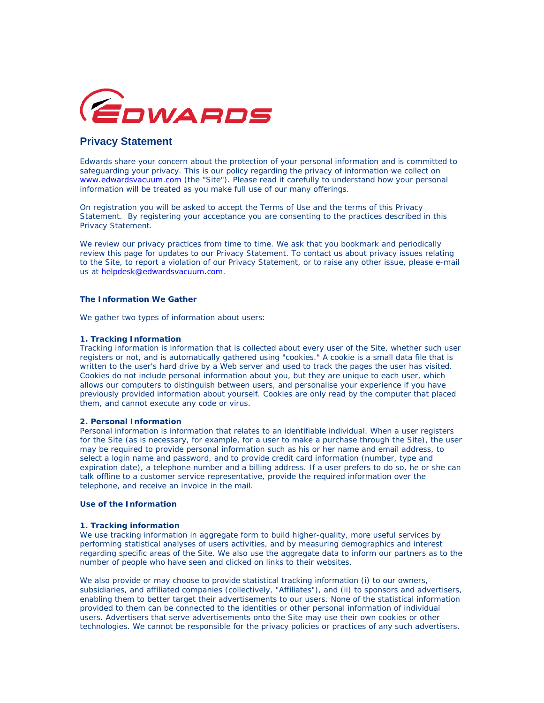

# **Privacy Statement**

Edwards share your concern about the protection of your personal information and is committed to safeguarding your privacy. This is our policy regarding the privacy of information we collect on www.edwardsvacuum.com (the "Site"). Please read it carefully to understand how your personal information will be treated as you make full use of our many offerings.

On registration you will be asked to accept the Terms of Use and the terms of this Privacy Statement. By registering your acceptance you are consenting to the practices described in this Privacy Statement.

We review our privacy practices from time to time. We ask that you bookmark and periodically review this page for updates to our Privacy Statement. To contact us about privacy issues relating to the Site, to report a violation of our Privacy Statement, or to raise any other issue, please e-mail us at helpdesk@edwardsvacuum.com.

## **The Information We Gather**

We gather two types of information about users:

## **1. Tracking Information**

Tracking information is information that is collected about every user of the Site, whether such user registers or not, and is automatically gathered using "cookies." A cookie is a small data file that is written to the user's hard drive by a Web server and used to track the pages the user has visited. Cookies do not include personal information about you, but they are unique to each user, which allows our computers to distinguish between users, and personalise your experience if you have previously provided information about yourself. Cookies are only read by the computer that placed them, and cannot execute any code or virus.

#### **2. Personal Information**

Personal information is information that relates to an identifiable individual. When a user registers for the Site (as is necessary, for example, for a user to make a purchase through the Site), the user may be required to provide personal information such as his or her name and email address, to select a login name and password, and to provide credit card information (number, type and expiration date), a telephone number and a billing address. If a user prefers to do so, he or she can talk offline to a customer service representative, provide the required information over the telephone, and receive an invoice in the mail.

### **Use of the Information**

#### **1. Tracking information**

We use tracking information in aggregate form to build higher-quality, more useful services by performing statistical analyses of users activities, and by measuring demographics and interest regarding specific areas of the Site. We also use the aggregate data to inform our partners as to the number of people who have seen and clicked on links to their websites.

We also provide or may choose to provide statistical tracking information (i) to our owners, subsidiaries, and affiliated companies (collectively, "Affiliates"), and (ii) to sponsors and advertisers, enabling them to better target their advertisements to our users. None of the statistical information provided to them can be connected to the identities or other personal information of individual users. Advertisers that serve advertisements onto the Site may use their own cookies or other technologies. We cannot be responsible for the privacy policies or practices of any such advertisers.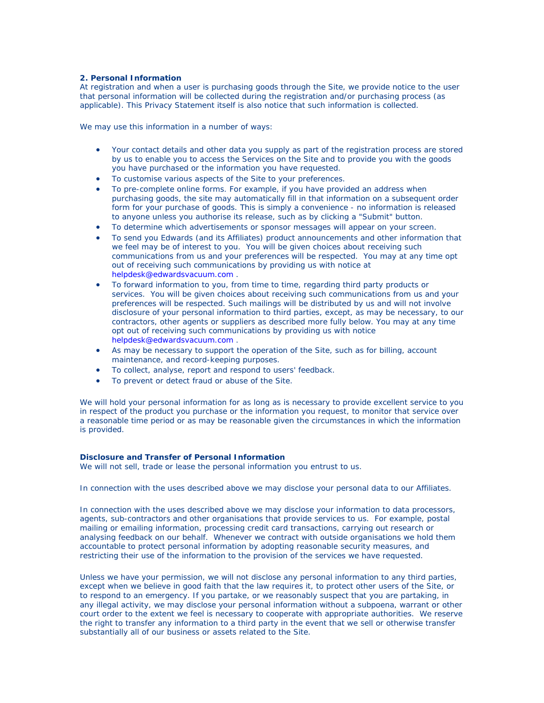### **2. Personal Information**

At registration and when a user is purchasing goods through the Site, we provide notice to the user that personal information will be collected during the registration and/or purchasing process (as applicable). This Privacy Statement itself is also notice that such information is collected.

We may use this information in a number of ways:

- Your contact details and other data you supply as part of the registration process are stored by us to enable you to access the Services on the Site and to provide you with the goods you have purchased or the information you have requested.
- To customise various aspects of the Site to your preferences.
- To pre-complete online forms. For example, if you have provided an address when purchasing goods, the site may automatically fill in that information on a subsequent order form for your purchase of goods. This is simply a convenience - no information is released to anyone unless you authorise its release, such as by clicking a "Submit" button.
- To determine which advertisements or sponsor messages will appear on your screen.
- To send you Edwards (and its Affiliates) product announcements and other information that we feel may be of interest to you. You will be given choices about receiving such communications from us and your preferences will be respected. You may at any time opt out of receiving such communications by providing us with notice at helpdesk@edwardsvacuum.com .
- To forward information to you, from time to time, regarding third party products or services. You will be given choices about receiving such communications from us and your preferences will be respected. Such mailings will be distributed by us and will not involve disclosure of your personal information to third parties, except, as may be necessary, to our contractors, other agents or suppliers as described more fully below. You may at any time opt out of receiving such communications by providing us with notice helpdesk@edwardsvacuum.com .
- As may be necessary to support the operation of the Site, such as for billing, account maintenance, and record-keeping purposes.
- To collect, analyse, report and respond to users' feedback.
- To prevent or detect fraud or abuse of the Site.

We will hold your personal information for as long as is necessary to provide excellent service to you in respect of the product you purchase or the information you request, to monitor that service over a reasonable time period or as may be reasonable given the circumstances in which the information is provided.

#### **Disclosure and Transfer of Personal Information**

We will not sell, trade or lease the personal information you entrust to us.

In connection with the uses described above we may disclose your personal data to our Affiliates.

In connection with the uses described above we may disclose your information to data processors, agents, sub-contractors and other organisations that provide services to us. For example, postal mailing or emailing information, processing credit card transactions, carrying out research or analysing feedback on our behalf. Whenever we contract with outside organisations we hold them accountable to protect personal information by adopting reasonable security measures, and restricting their use of the information to the provision of the services we have requested.

Unless we have your permission, we will not disclose any personal information to any third parties, except when we believe in good faith that the law requires it, to protect other users of the Site, or to respond to an emergency. If you partake, or we reasonably suspect that you are partaking, in any illegal activity, we may disclose your personal information without a subpoena, warrant or other court order to the extent we feel is necessary to cooperate with appropriate authorities. We reserve the right to transfer any information to a third party in the event that we sell or otherwise transfer substantially all of our business or assets related to the Site.